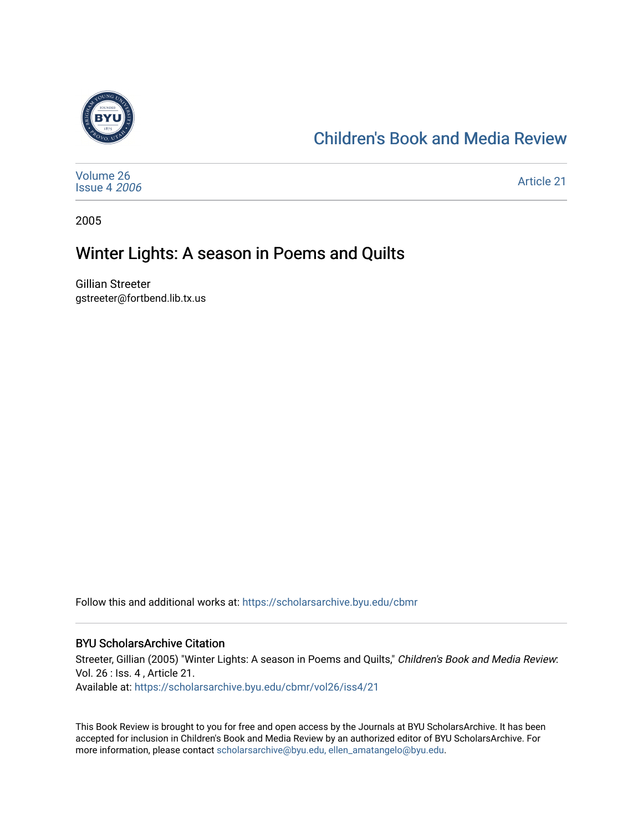

## [Children's Book and Media Review](https://scholarsarchive.byu.edu/cbmr)

| Volume 26<br><b>Issue 4 2006</b> | Article 21 |
|----------------------------------|------------|
|----------------------------------|------------|

2005

## Winter Lights: A season in Poems and Quilts

Gillian Streeter gstreeter@fortbend.lib.tx.us

Follow this and additional works at: [https://scholarsarchive.byu.edu/cbmr](https://scholarsarchive.byu.edu/cbmr?utm_source=scholarsarchive.byu.edu%2Fcbmr%2Fvol26%2Fiss4%2F21&utm_medium=PDF&utm_campaign=PDFCoverPages) 

## BYU ScholarsArchive Citation

Streeter, Gillian (2005) "Winter Lights: A season in Poems and Quilts," Children's Book and Media Review: Vol. 26 : Iss. 4 , Article 21. Available at: [https://scholarsarchive.byu.edu/cbmr/vol26/iss4/21](https://scholarsarchive.byu.edu/cbmr/vol26/iss4/21?utm_source=scholarsarchive.byu.edu%2Fcbmr%2Fvol26%2Fiss4%2F21&utm_medium=PDF&utm_campaign=PDFCoverPages)

This Book Review is brought to you for free and open access by the Journals at BYU ScholarsArchive. It has been accepted for inclusion in Children's Book and Media Review by an authorized editor of BYU ScholarsArchive. For more information, please contact [scholarsarchive@byu.edu, ellen\\_amatangelo@byu.edu.](mailto:scholarsarchive@byu.edu,%20ellen_amatangelo@byu.edu)